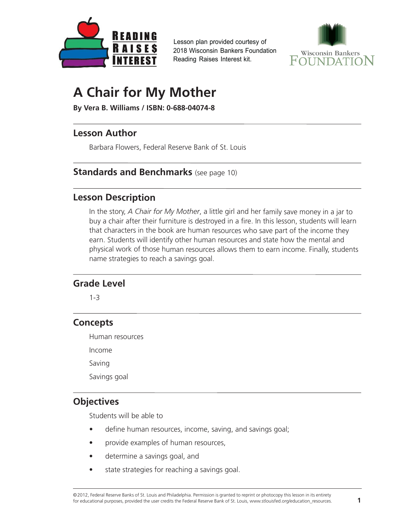<span id="page-0-0"></span>

Lesson plan provided courtesy of 2018 Wisconsin Bankers Foundation Reading Raises Interest kit.



# **A Chair for My Mother**

**By Vera B. Williams / ISBN: 0-688-04074-8**

# **Lesson Author**

Barbara Flowers, Federal Reserve Bank of St. Louis

# **Standards and Benchmarks** (see page 10)

# **Lesson Description**

In the story, *A Chair for My Mother*, a little girl and her family save money in a jar to buy a chair after their furniture is destroyed in a fire. In this lesson, students will learn that characters in the book are human resources who save part of the income they earn. Students will identify other human resources and state how the mental and physical work of those human resources allows them to earn income. Finally, students name strategies to reach a savings goal.

# **Grade Level**

1-3

# **Concepts**

Human resources

Income

Saving

Savings goal

# **Objectives**

Students will be able to

- •define human resources, income, saving, and savings goal;
- •provide examples of human resources,
- •determine a savings goal, and
- •state strategies for reaching a savings goal.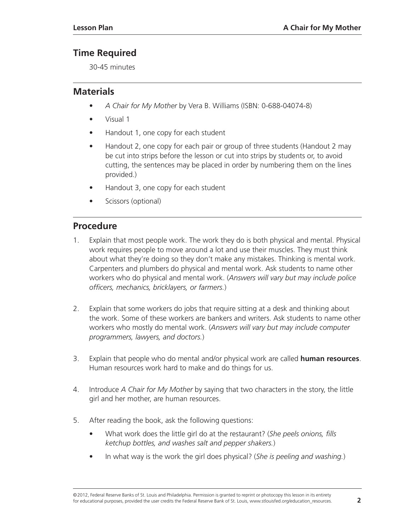# **Time Required**

30-45 minutes

# **Materials**

- *A Chair for My Mother* by Vera B. Williams (ISBN: 0-688-04074-8)
- Visual 1
- Handout 1, one copy for each student
- Handout 2, one copy for each pair or group of three students (Handout 2 may be cut into strips before the lesson or cut into strips by students or, to avoid cutting, the sentences may be placed in order by numbering them on the lines provided.)
- Handout 3, one copy for each student
- Scissors (optional)

# **Procedure**

- 1. Explain that most people work. The work they do is both physical and mental. Physical work requires people to move around a lot and use their muscles. They must think about what they're doing so they don't make any mistakes. Thinking is mental work. Carpenters and plumbers do physical and mental work. Ask students to name other workers who do physical and mental work. (*Answers will vary but may include police officers, mechanics, bricklayers, or farmers.*)
- 2. Explain that some workers do jobs that require sitting at a desk and thinking about the work. Some of these workers are bankers and writers. Ask students to name other workers who mostly do mental work. (*Answers will vary but may include computer programmers, lawyers, and doctors.*)
- 3. Explain that people who do mental and/or physical work are called **human resources**. Human resources work hard to make and do things for us.
- 4. Introduce *A Chair for My Mother* by saying that two characters in the story, the little girl and her mother, are human resources.
- 5. After reading the book, ask the following questions:
	- What work does the little girl do at the restaurant? (*She peels onions, fills ketchup bottles, and washes salt and pepper shakers.*)
	- In what way is the work the girl does physical? (*She is peeling and washing.*)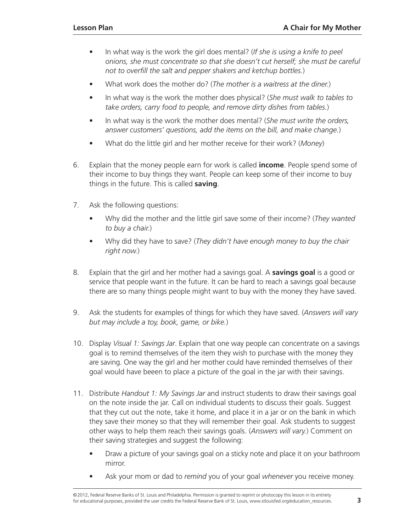- In what way is the work the girl does mental? (*If she is using a knife to peel onions, she must concentrate so that she doesn't cut herself; she must be careful not to overfill the salt and pepper shakers and ketchup bottles.*)
- What work does the mother do? (*The mother is a waitress at the diner.*)
- In what way is the work the mother does physical? (*She must walk to tables to take orders, carry food to people, and remove dirty dishes from tables.*)
- In what way is the work the mother does mental? (*She must write the orders, answer customers' questions, add the items on the bill, and make change.*)
- What do the little girl and her mother receive for their work? (*Money*)
- 6. Explain that the money people earn for work is called **income**. People spend some of their income to buy things they want. People can keep some of their income to buy things in the future. This is called **saving**.
- 7. Ask the following questions:
	- Why did the mother and the little girl save some of their income? (*They wanted to buy a chair.*)
	- Why did they have to save? (*They didn't have enough money to buy the chair right now.*)
- 8. Explain that the girl and her mother had a savings goal. A **savings goal** is a good or service that people want in the future. It can be hard to reach a savings goal because there are so many things people might want to buy with the money they have saved.
- 9. Ask the students for examples of things for which they have saved. (*Answers will vary but may include a toy, book, game, or bike.*)
- 10. Display *Visual 1: Savings Jar*. Explain that one way people can concentrate on a savings goal is to remind themselves of the item they wish to purchase with the money they are saving. One way the girl and her mother could have reminded themselves of their goal would have beeen to place a picture of the goal in the jar with their savings.
- 11. Distribute *Handout 1: My Savings Jar* and instruct students to draw their savings goal on the note inside the jar. Call on individual students to discuss their goals. Suggest that they cut out the note, take it home, and place it in a jar or on the bank in which they save their money so that they will remember their goal. Ask students to suggest other ways to help them reach their savings goals. (*Answers will vary.*) Comment on their saving strategies and suggest the following:
	- Draw a picture of your savings goal on a sticky note and place it on your bathroom mirror.
	- Ask your mom or dad to *remind* you of your goal *whenever* you receive money.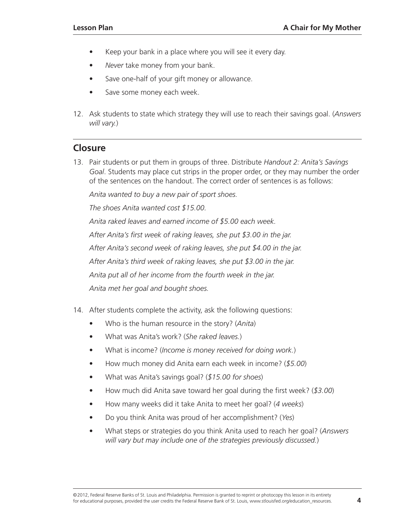- Keep your bank in a place where you will see it every day.
- *Never* take money from your bank.
- Save one-half of your gift money or allowance.
- Save some money each week.
- 12. Ask students to state which strategy they will use to reach their savings goal. (*Answers will vary.*)

### **Closure**

13. Pair students or put them in groups of three. Distribute *Handout 2: Anita's Savings Goal*. Students may place cut strips in the proper order, or they may number the order of the sentences on the handout. The correct order of sentences is as follows:

*Anita wanted to buy a new pair of sport shoes.*

*The shoes Anita wanted cost \$15.00.*

*Anita raked leaves and earned income of \$5.00 each week. After Anita's first week of raking leaves, she put \$3.00 in the jar. After Anita's second week of raking leaves, she put \$4.00 in the jar. After Anita's third week of raking leaves, she put \$3.00 in the jar. Anita put all of her income from the fourth week in the jar.*

*Anita met her goal and bought shoes.* 

- 14. After students complete the activity, ask the following questions:
	- Who is the human resource in the story? (*Anita*)
	- What was Anita's work? (*She raked leaves.*)
	- What is income? (*Income is money received for doing work.*)
	- How much money did Anita earn each week in income? (*\$5.00*)
	- What was Anita's savings goal? (*\$15.00 for shoes*)
	- How much did Anita save toward her goal during the first week? (*\$3.00*)
	- How many weeks did it take Anita to meet her goal? (*4 weeks*)
	- Do you think Anita was proud of her accomplishment? (*Yes*)
	- What steps or strategies do you think Anita used to reach her goal? (*Answers will vary but may include one of the strategies previously discussed.*)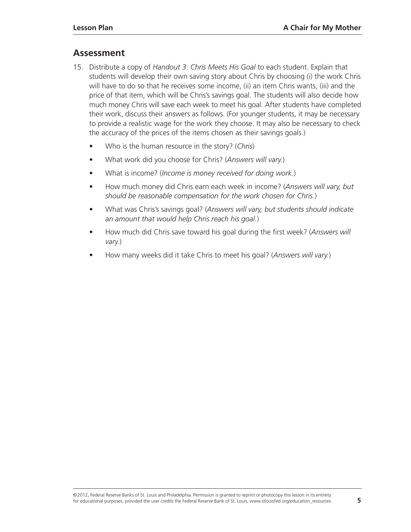# **Assessment**

- 15. Distribute a copy of *Handout 3: Chris Meets His Goal* to each student. Explain that students will develop their own saving story about Chris by choosing (i) the work Chris will have to do so that he receives some income, (ii) an item Chris wants, (iii) and the price of that item, which will be Chris's savings goal. The students will also decide how much money Chris will save each week to meet his goal. After students have completed their work, discuss their answers as follows. (For younger students, it may be necessary to provide a realistic wage for the work they choose. It may also be necessary to check the accuracy of the prices of the items chosen as their savings goals.)
	- Who is the human resource in the story? (*Chris*)
	- What work did you choose for Chris? (*Answers will vary.*)
	- What is income? (*Income is money received for doing work.*)
	- How much money did Chris earn each week in income? (*Answers will vary, but should be reasonable compensation for the work chosen for Chris.*)
	- What was Chris's savings goal? (*Answers will vary, but students should indicate an amount that would help Chris reach his goal.*)
	- How much did Chris save toward his goal during the first week? (*Answers will vary.*)
	- How many weeks did it take Chris to meet his goal? (*Answers will vary.*)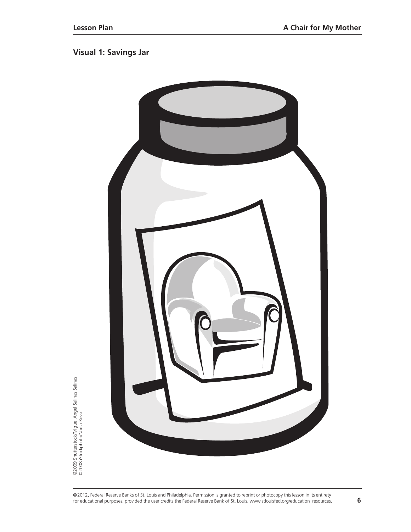# **Visual 1: Savings Jar**



©2009 Shutterstock/Miguel Angel Salinas Salinas<br>©2008 iStockphoto/Nadia Rossi ©2009 Shutterstock/Miguel Angel Salinas Salinas<br>©2008 iStockphoto/Nadia Rossi

<sup>©2012,</sup> Federal Reserve Banks of St. Louis and Philadelphia. Permission is granted to reprint or photocopy this lesson in its entirety for educational purposes, provided the user credits the Federal Reserve Bank of St. Louis, www.stlouisfed.org/education\_resources. **6**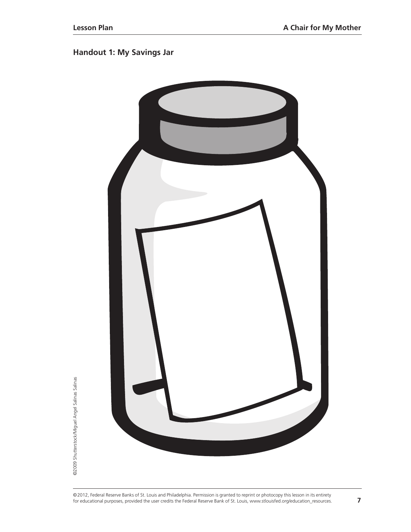# **Handout 1: My Savings Jar**



©2012, Federal Reserve Banks of St. Louis and Philadelphia. Permission is granted to reprint or photocopy this lesson in its entirety for educational purposes, provided the user credits the Federal Reserve Bank of St. Louis, www.stlouisfed.org/education\_resources. **7**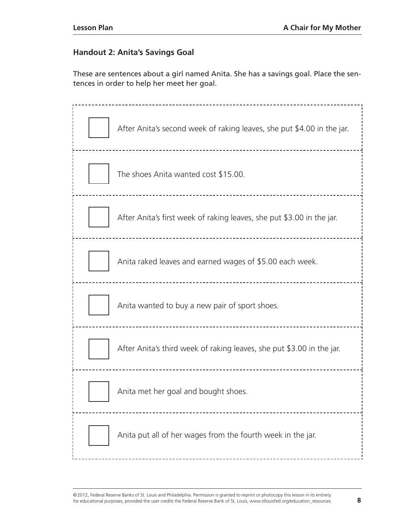#### **Handout 2: Anita's Savings Goal**

These are sentences about a girl named Anita. She has a savings goal. Place the sentences in order to help her meet her goal.

| After Anita's second week of raking leaves, she put \$4.00 in the jar. |
|------------------------------------------------------------------------|
| The shoes Anita wanted cost \$15.00.                                   |
| After Anita's first week of raking leaves, she put \$3.00 in the jar.  |
| Anita raked leaves and earned wages of \$5.00 each week.               |
| Anita wanted to buy a new pair of sport shoes.                         |
| After Anita's third week of raking leaves, she put \$3.00 in the jar.  |
| Anita met her goal and bought shoes.                                   |
| Anita put all of her wages from the fourth week in the jar.            |

©2012, Federal Reserve Banks of St. Louis and Philadelphia. Permission is granted to reprint or photocopy this lesson in its entirety for educational purposes, provided the user credits the Federal Reserve Bank of St. Louis, www.stlouisfed.org/education\_resources. **8**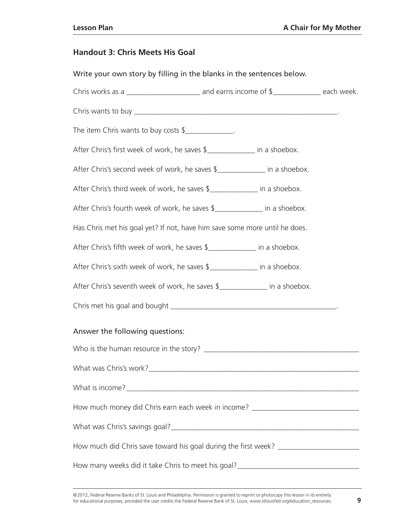#### **Handout 3: Chris Meets His Goal**

Write your own story by filling in the blanks in the sentences below. Chris works as a \_\_\_\_\_\_\_\_\_\_\_\_\_\_\_\_\_\_\_\_\_\_\_\_\_\_ and earns income of  $\frac{1}{2}$  \_\_\_\_\_\_\_\_\_\_\_\_\_\_\_\_\_ each week. Chris wants to buy \_\_\_\_\_\_\_\_\_\_\_\_\_\_\_\_\_\_\_\_\_\_\_\_\_\_\_\_\_\_\_\_\_\_\_\_\_\_\_\_\_\_\_\_\_\_\_\_\_\_\_\_\_\_\_. The item Chris wants to buy costs  $\frac{1}{2}$ After Chris's first week of work, he saves \$\_\_\_\_\_\_\_\_\_\_\_\_\_ in a shoebox. After Chris's second week of work, he saves \$\_\_\_\_\_\_\_\_\_\_\_\_\_\_\_\_\_ in a shoebox. After Chris's third week of work, he saves \$ in a shoebox. After Chris's fourth week of work, he saves \$\_\_\_\_\_\_\_\_\_\_\_\_\_\_\_\_ in a shoebox. Has Chris met his goal yet? If not, have him save some more until he does. After Chris's fifth week of work, he saves \$\_\_\_\_\_\_\_\_\_\_\_\_\_ in a shoebox. After Chris's sixth week of work, he saves \$\_\_\_\_\_\_\_\_\_\_\_\_\_\_\_\_ in a shoebox. After Chris's seventh week of work, he saves \$\_\_\_\_\_\_\_\_\_\_\_\_\_ in a shoebox. Chris met his goal and bought \_\_\_\_\_\_\_\_\_\_\_\_\_\_\_\_\_\_\_\_\_\_\_\_\_\_\_\_\_\_\_\_\_\_\_\_\_\_\_\_\_\_\_\_\_. Answer the following questions: Who is the human resource in the story? What was Chris's work? What is income? How much money did Chris earn each week in income? What was Chris's savings goal? What was christened with the same of the same of the same of the same of the same of the same of the same of the same of the same of the same of the same of the same of the same of the same o How much did Chris save toward his goal during the first week? \_\_\_\_\_\_\_\_\_\_\_\_\_\_\_\_\_ How many weeks did it take Chris to meet his goal?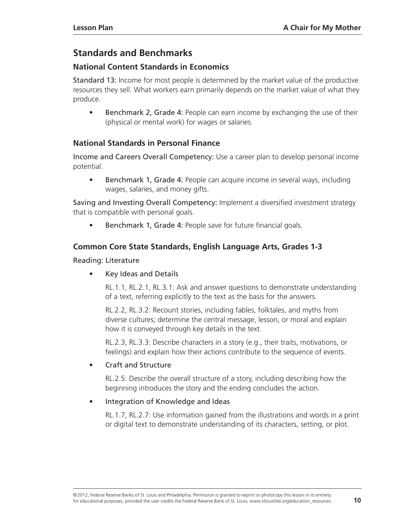# **[Standards and Benchmarks](#page-0-0)**

# **National Content Standards in Economics**

Standard 13: Income for most people is determined by the market value of the productive resources they sell. What workers earn primarily depends on the market value of what they produce.

• Benchmark 2, Grade 4: People can earn income by exchanging the use of their (physical or mental work) for wages or salaries.

# **National Standards in Personal Finance**

Income and Careers Overall Competency: Use a career plan to develop personal income potential.

• Benchmark 1, Grade 4: People can acquire income in several ways, including wages, salaries, and money gifts.

Saving and Investing Overall Competency: Implement a diversified investment strategy that is compatible with personal goals.

• Benchmark 1, Grade 4: People save for future financial goals.

# **Common Core State Standards, English Language Arts, Grades 1-3**

#### Reading: Literature

• Key Ideas and Details

RL.1.1, RL.2.1, RL.3.1: Ask and answer questions to demonstrate understanding of a text, referring explicitly to the text as the basis for the answers.

RL.2.2, RL.3.2: Recount stories, including fables, folktales, and myths from diverse cultures; determine the central message, lesson, or moral and explain how it is conveyed through key details in the text.

RL.2.3, RL.3.3: Describe characters in a story (e.g., their traits, motivations, or feelings) and explain how their actions contribute to the sequence of events.

#### • Craft and Structure

RL.2.5: Describe the overall structure of a story, including describing how the beginning introduces the story and the ending concludes the action.

#### • Integration of Knowledge and Ideas

RL.1.7, RL.2.7: Use information gained from the illustrations and words in a print or digital text to demonstrate understanding of its characters, setting, or plot.